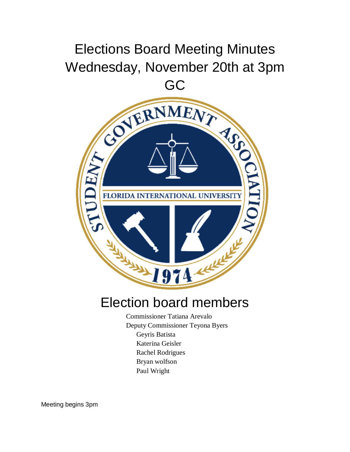## Elections Board Meeting Minutes Wednesday, November 20th at 3pm



## Election board members

Commissioner Tatiana Arevalo Deputy Commissioner Teyona Byers Geyris Batista Katerina Geisler Rachel Rodrigues Bryan wolfson Paul Wright

Meeting begins 3pm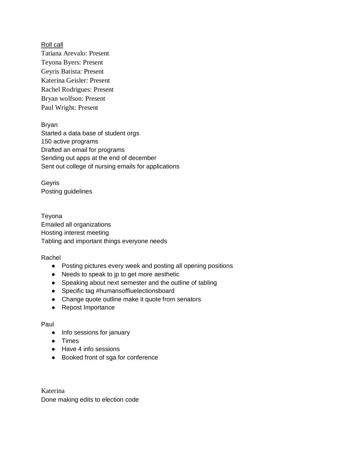Roll call Tatiana Arevalo: Present Teyona Byers: Present Geyris Batista: Present Katerina Geisler: Present Rachel Rodrigues: Present Bryan wolfson: Present Paul Wright: Present

Bryan Started a data base of student orgs 150 active programs Drafted an email for programs Sending out apps at the end of december Sent out college of nursing emails for applications

Geyris Posting guidelines

Teyona Emailed all organizations Hosting interest meeting Tabling and important things everyone needs

Rachel

- Posting pictures every week and posting all opening positions
- Needs to speak to jp to get more aesthetic
- Speaking about next semester and the outline of tabling
- Specific tag #humansoffiuelectionsboard
- Change quote outline make it quote from senators
- Repost Importance

## Paul

- Info sessions for january
- Times
- Have 4 info sessions
- Booked front of sga for conference

Katerina Done making edits to election code